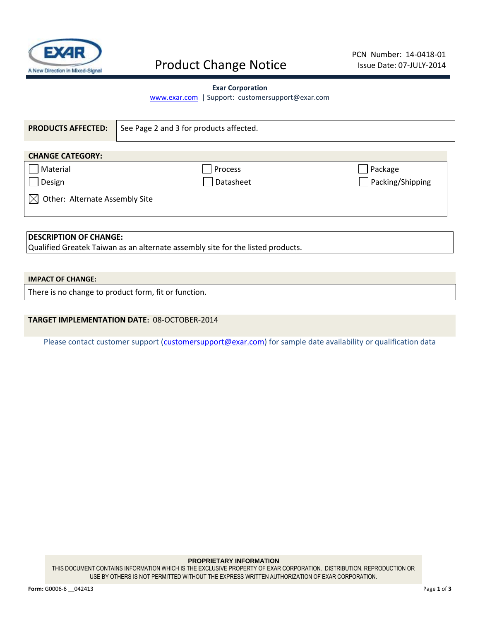

## Product Change Notice

### **Exar Corporation**

[www.exar.com](http://www.exar.com/) | Support: customersupport@exar.com

| <b>PRODUCTS AFFECTED:</b>             | See Page 2 and 3 for products affected. |                  |  |  |  |  |
|---------------------------------------|-----------------------------------------|------------------|--|--|--|--|
| <b>CHANGE CATEGORY:</b>               |                                         |                  |  |  |  |  |
| Material                              | Process                                 | ∫ Package        |  |  |  |  |
| Design                                | Datasheet                               | Packing/Shipping |  |  |  |  |
| Other: Alternate Assembly Site<br>IXI |                                         |                  |  |  |  |  |
| <b>DESCRIPTION OF CHANGE:</b>         |                                         |                  |  |  |  |  |

Qualified Greatek Taiwan as an alternate assembly site for the listed products.

### **IMPACT OF CHANGE:**

There is no change to product form, fit or function.

## **TARGET IMPLEMENTATION DATE:** 08-OCTOBER-2014

Please contact customer support [\(customersupport@exar.com\)](mailto:customersupport@exar.com) for sample date availability or qualification data

#### **PROPRIETARY INFORMATION**

THIS DOCUMENT CONTAINS INFORMATION WHICH IS THE EXCLUSIVE PROPERTY OF EXAR CORPORATION. DISTRIBUTION, REPRODUCTION OR USE BY OTHERS IS NOT PERMITTED WITHOUT THE EXPRESS WRITTEN AUTHORIZATION OF EXAR CORPORATION.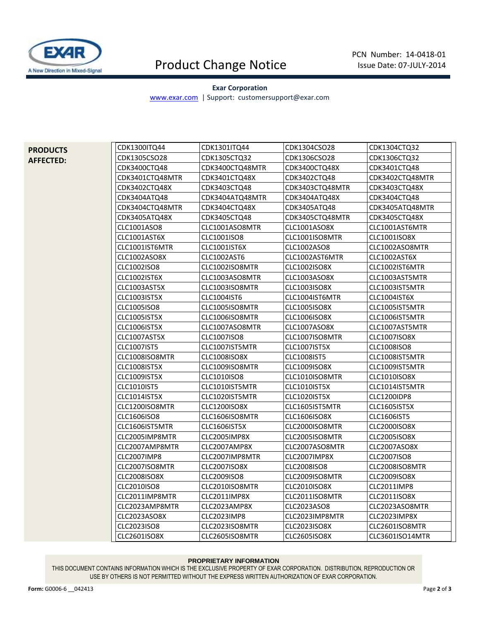

## Product Change Notice

### **Exar Corporation**

[www.exar.com](http://www.exar.com/) | Support: customersupport@exar.com

**PRODUCTS AFFECTED:**

| CDK1300ITQ44        | CDK1301ITQ44        | CDK1304CSO28        | CDK1304CTQ32        |
|---------------------|---------------------|---------------------|---------------------|
| CDK1305CSO28        | CDK1305CTQ32        | CDK1306CSO28        | CDK1306CTQ32        |
| CDK3400CTQ48        | CDK3400CTQ48MTR     | CDK3400CTQ48X       | CDK3401CTQ48        |
| CDK3401CTQ48MTR     | CDK3401CTQ48X       | CDK3402CTQ48        | CDK3402CTQ48MTR     |
| CDK3402CTQ48X       | CDK3403CTQ48        | CDK3403CTQ48MTR     | CDK3403CTQ48X       |
| CDK3404ATQ48        | CDK3404ATQ48MTR     | CDK3404ATQ48X       | CDK3404CTQ48        |
| CDK3404CTQ48MTR     | CDK3404CTQ48X       | CDK3405ATQ48        | CDK3405ATQ48MTR     |
| CDK3405ATQ48X       | CDK3405CTQ48        | CDK3405CTQ48MTR     | CDK3405CTQ48X       |
| CLC1001ASO8         | CLC1001ASO8MTR      | CLC1001ASO8X        | CLC1001AST6MTR      |
| CLC1001AST6X        | CLC1001ISO8         | CLC1001ISO8MTR      | CLC1001ISO8X        |
| CLC1001IST6MTR      | CLC1001IST6X        | CLC1002ASO8         | CLC1002ASO8MTR      |
| CLC1002ASO8X        | CLC1002AST6         | CLC1002AST6MTR      | CLC1002AST6X        |
| CLC1002ISO8         | CLC1002ISO8MTR      | CLC1002ISO8X        | CLC1002IST6MTR      |
| CLC1002IST6X        | CLC1003ASO8MTR      | CLC1003ASO8X        | CLC1003AST5MTR      |
| CLC1003AST5X        | CLC1003ISO8MTR      | CLC1003ISO8X        | CLC1003IST5MTR      |
| CLC1003IST5X        | CLC1004IST6         | CLC1004IST6MTR      | CLC1004IST6X        |
| CLC1005ISO8         | CLC1005ISO8MTR      | CLC1005ISO8X        | CLC1005IST5MTR      |
| CLC1005IST5X        | CLC1006ISO8MTR      | CLC1006ISO8X        | CLC1006IST5MTR      |
| CLC1006IST5X        | CLC1007ASO8MTR      | CLC1007ASO8X        | CLC1007AST5MTR      |
| CLC1007AST5X        | CLC1007ISO8         | CLC1007ISO8MTR      | <b>CLC1007ISO8X</b> |
| <b>CLC1007IST5</b>  | CLC1007IST5MTR      | <b>CLC1007IST5X</b> | CLC1008ISO8         |
| CLC1008ISO8MTR      | <b>CLC1008ISO8X</b> | <b>CLC1008IST5</b>  | CLC1008IST5MTR      |
| CLC1008IST5X        | CLC1009ISO8MTR      | CLC1009ISO8X        | CLC1009IST5MTR      |
| <b>CLC1009IST5X</b> | CLC1010ISO8         | CLC1010ISO8MTR      | <b>CLC1010ISO8X</b> |
| CLC1010IST5         | CLC1010IST5MTR      | CLC1010IST5X        | CLC1014IST5MTR      |
| CLC1014IST5X        | CLC1020IST5MTR      | CLC1020IST5X        | CLC1200IDP8         |
| CLC1200ISO8MTR      | CLC1200ISO8X        | CLC1605IST5MTR      | CLC1605IST5X        |
| CLC1606ISO8         | CLC1606ISO8MTR      | CLC1606ISO8X        | CLC1606IST5         |
| CLC1606IST5MTR      | CLC1606IST5X        | CLC2000ISO8MTR      | CLC2000ISO8X        |
| CLC2005IMP8MTR      | CLC2005IMP8X        | CLC2005ISO8MTR      | <b>CLC2005ISO8X</b> |
| CLC2007AMP8MTR      | CLC2007AMP8X        | CLC2007ASO8MTR      | CLC2007ASO8X        |
| CLC2007IMP8         | CLC2007IMP8MTR      | CLC2007IMP8X        | <b>CLC2007ISO8</b>  |
| CLC2007ISO8MTR      | <b>CLC2007ISO8X</b> | <b>CLC2008ISO8</b>  | CLC2008ISO8MTR      |
| CLC2008ISO8X        | CLC2009ISO8         | CLC2009ISO8MTR      | <b>CLC2009ISO8X</b> |
| CLC2010ISO8         | CLC2010ISO8MTR      | CLC2010ISO8X        | CLC2011IMP8         |
| CLC2011IMP8MTR      | CLC2011IMP8X        | CLC2011ISO8MTR      | CLC2011ISO8X        |
| CLC2023AMP8MTR      | CLC2023AMP8X        | CLC2023ASO8         | CLC2023ASO8MTR      |
| CLC2023ASO8X        | CLC2023IMP8         | CLC2023IMP8MTR      | CLC2023IMP8X        |
| CLC2023ISO8         | CLC2023ISO8MTR      | CLC2023ISO8X        | CLC2601ISO8MTR      |
| CLC2601ISO8X        | CLC2605ISO8MTR      | CLC2605ISO8X        | CLC3601ISO14MTR     |

#### **PROPRIETARY INFORMATION**

THIS DOCUMENT CONTAINS INFORMATION WHICH IS THE EXCLUSIVE PROPERTY OF EXAR CORPORATION. DISTRIBUTION, REPRODUCTION OR USE BY OTHERS IS NOT PERMITTED WITHOUT THE EXPRESS WRITTEN AUTHORIZATION OF EXAR CORPORATION.